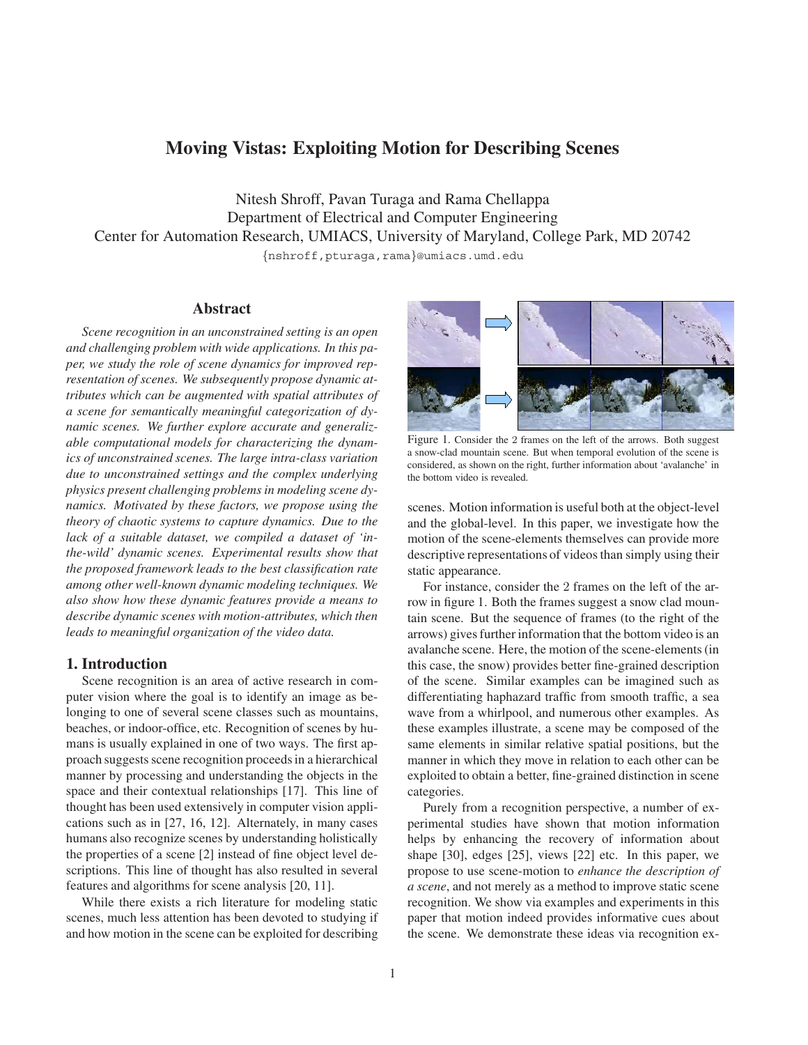# **Moving Vistas: Exploiting Motion for Describing Scenes**

Nitesh Shroff, Pavan Turaga and Rama Chellappa Department of Electrical and Computer Engineering Center for Automation Research, UMIACS, University of Maryland, College Park, MD 20742 *{*nshroff,pturaga,rama*}*@umiacs.umd.edu

# **Abstract**

*Scene recognition in an unconstrained setting is an open and challenging problem with wide applications. In this paper, we study the role of scene dynamics for improved representation of scenes. We subsequently propose dynamic attributes which can be augmented with spatial attributes of a scene for semantically meaningful categorization of dynamic scenes. We further explore accurate and generalizable computational models for characterizing the dynamics of unconstrained scenes. The large intra-class variation due to unconstrained settings and the complex underlying physics present challenging problems in modeling scene dynamics. Motivated by these factors, we propose using the theory of chaotic systems to capture dynamics. Due to the lack of a suitable dataset, we compiled a dataset of 'inthe-wild' dynamic scenes. Experimental results show that the proposed framework leads to the best classification rate among other well-known dynamic modeling techniques. We also show how these dynamic features provide a means to describe dynamic scenes with motion-attributes, which then leads to meaningful organization of the video data.*

# **1. Introduction**

Scene recognition is an area of active research in computer vision where the goal is to identify an image as belonging to one of several scene classes such as mountains, beaches, or indoor-office, etc. Recognition of scenes by humans is usually explained in one of two ways. The first approach suggests scene recognition proceeds in a hierarchical manner by processing and understanding the objects in the space and their contextual relationships [17]. This line of thought has been used extensively in computer vision applications such as in [27, 16, 12]. Alternately, in many cases humans also recognize scenes by understanding holistically the properties of a scene [2] instead of fine object level descriptions. This line of thought has also resulted in several features and algorithms for scene analysis [20, 11].

While there exists a rich literature for modeling static scenes, much less attention has been devoted to studying if and how motion in the scene can be exploited for describing



Figure 1. Consider the 2 frames on the left of the arrows. Both suggest a snow-clad mountain scene. But when temporal evolution of the scene is considered, as shown on the right, further information about 'avalanche' in the bottom video is revealed.

scenes. Motion information is useful both at the object-level and the global-level. In this paper, we investigate how the motion of the scene-elements themselves can provide more descriptive representations of videos than simply using their static appearance.

For instance, consider the 2 frames on the left of the arrow in figure 1. Both the frames suggest a snow clad mountain scene. But the sequence of frames (to the right of the arrows) gives further information that the bottom video is an avalanche scene. Here, the motion of the scene-elements (in this case, the snow) provides better fine-grained description of the scene. Similar examples can be imagined such as differentiating haphazard traffic from smooth traffic, a sea wave from a whirlpool, and numerous other examples. As these examples illustrate, a scene may be composed of the same elements in similar relative spatial positions, but the manner in which they move in relation to each other can be exploited to obtain a better, fine-grained distinction in scene categories.

Purely from a recognition perspective, a number of experimental studies have shown that motion information helps by enhancing the recovery of information about shape [30], edges [25], views [22] etc. In this paper, we propose to use scene-motion to *enhance the description of a scene*, and not merely as a method to improve static scene recognition. We show via examples and experiments in this paper that motion indeed provides informative cues about the scene. We demonstrate these ideas via recognition ex-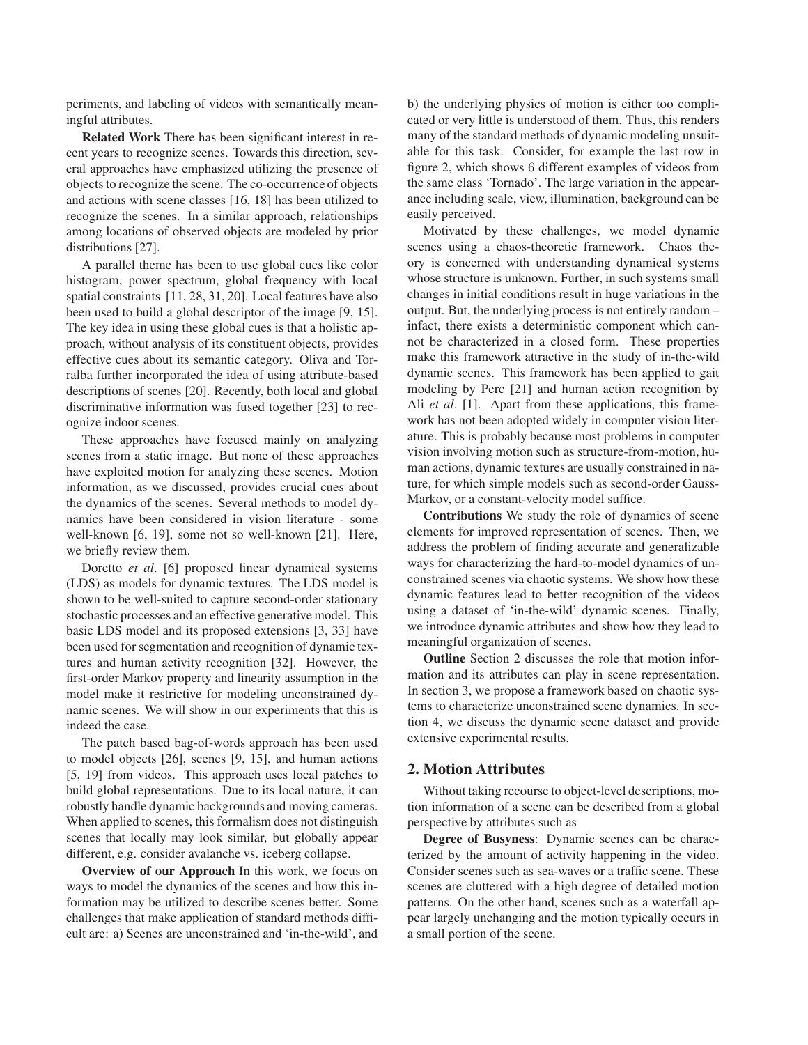periments, and labeling of videos with semantically meaningful attributes.

**Related Work** There has been significant interest in recent years to recognize scenes. Towards this direction, several approaches have emphasized utilizing the presence of objects to recognize the scene. The co-occurrence of objects and actions with scene classes [16, 18] has been utilized to recognize the scenes. In a similar approach, relationships among locations of observed objects are modeled by prior distributions [27].

A parallel theme has been to use global cues like color histogram, power spectrum, global frequency with local spatial constraints [11, 28, 31, 20]. Local features have also been used to build a global descriptor of the image [9, 15]. The key idea in using these global cues is that a holistic approach, without analysis of its constituent objects, provides effective cues about its semantic category. Oliva and Torralba further incorporated the idea of using attribute-based descriptions of scenes [20]. Recently, both local and global discriminative information was fused together [23] to recognize indoor scenes.

These approaches have focused mainly on analyzing scenes from a static image. But none of these approaches have exploited motion for analyzing these scenes. Motion information, as we discussed, provides crucial cues about the dynamics of the scenes. Several methods to model dynamics have been considered in vision literature - some well-known [6, 19], some not so well-known [21]. Here, we briefly review them.

Doretto *et al*. [6] proposed linear dynamical systems (LDS) as models for dynamic textures. The LDS model is shown to be well-suited to capture second-order stationary stochastic processes and an effective generative model. This basic LDS model and its proposed extensions [3, 33] have been used for segmentation and recognition of dynamic textures and human activity recognition [32]. However, the first-order Markov property and linearity assumption in the model make it restrictive for modeling unconstrained dynamic scenes. We will show in our experiments that this is indeed the case.

The patch based bag-of-words approach has been used to model objects [26], scenes [9, 15], and human actions [5, 19] from videos. This approach uses local patches to build global representations. Due to its local nature, it can robustly handle dynamic backgrounds and moving cameras. When applied to scenes, this formalism does not distinguish scenes that locally may look similar, but globally appear different, e.g. consider avalanche vs. iceberg collapse.

**Overview of our Approach** In this work, we focus on ways to model the dynamics of the scenes and how this information may be utilized to describe scenes better. Some challenges that make application of standard methods difficult are: a) Scenes are unconstrained and 'in-the-wild', and b) the underlying physics of motion is either too complicated or very little is understood of them. Thus, this renders many of the standard methods of dynamic modeling unsuitable for this task. Consider, for example the last row in figure 2, which shows 6 different examples of videos from the same class 'Tornado'. The large variation in the appearance including scale, view, illumination, background can be easily perceived.

Motivated by these challenges, we model dynamic scenes using a chaos-theoretic framework. Chaos theory is concerned with understanding dynamical systems whose structure is unknown. Further, in such systems small changes in initial conditions result in huge variations in the output. But, the underlying process is not entirely random – infact, there exists a deterministic component which cannot be characterized in a closed form. These properties make this framework attractive in the study of in-the-wild dynamic scenes. This framework has been applied to gait modeling by Perc [21] and human action recognition by Ali *et al.* [1]. Apart from these applications, this framework has not been adopted widely in computer vision literature. This is probably because most problems in computer vision involving motion such as structure-from-motion, human actions, dynamic textures are usually constrained in nature, for which simple models such as second-order Gauss-Markov, or a constant-velocity model suffice.

**Contributions** We study the role of dynamics of scene elements for improved representation of scenes. Then, we address the problem of finding accurate and generalizable ways for characterizing the hard-to-model dynamics of unconstrained scenes via chaotic systems. We show how these dynamic features lead to better recognition of the videos using a dataset of 'in-the-wild' dynamic scenes. Finally, we introduce dynamic attributes and show how they lead to meaningful organization of scenes.

**Outline** Section 2 discusses the role that motion information and its attributes can play in scene representation. In section 3, we propose a framework based on chaotic systems to characterize unconstrained scene dynamics. In section 4, we discuss the dynamic scene dataset and provide extensive experimental results.

# **2. Motion Attributes**

Without taking recourse to object-level descriptions, motion information of a scene can be described from a global perspective by attributes such as

**Degree of Busyness**: Dynamic scenes can be characterized by the amount of activity happening in the video. Consider scenes such as sea-waves or a traffic scene. These scenes are cluttered with a high degree of detailed motion patterns. On the other hand, scenes such as a waterfall appear largely unchanging and the motion typically occurs in a small portion of the scene.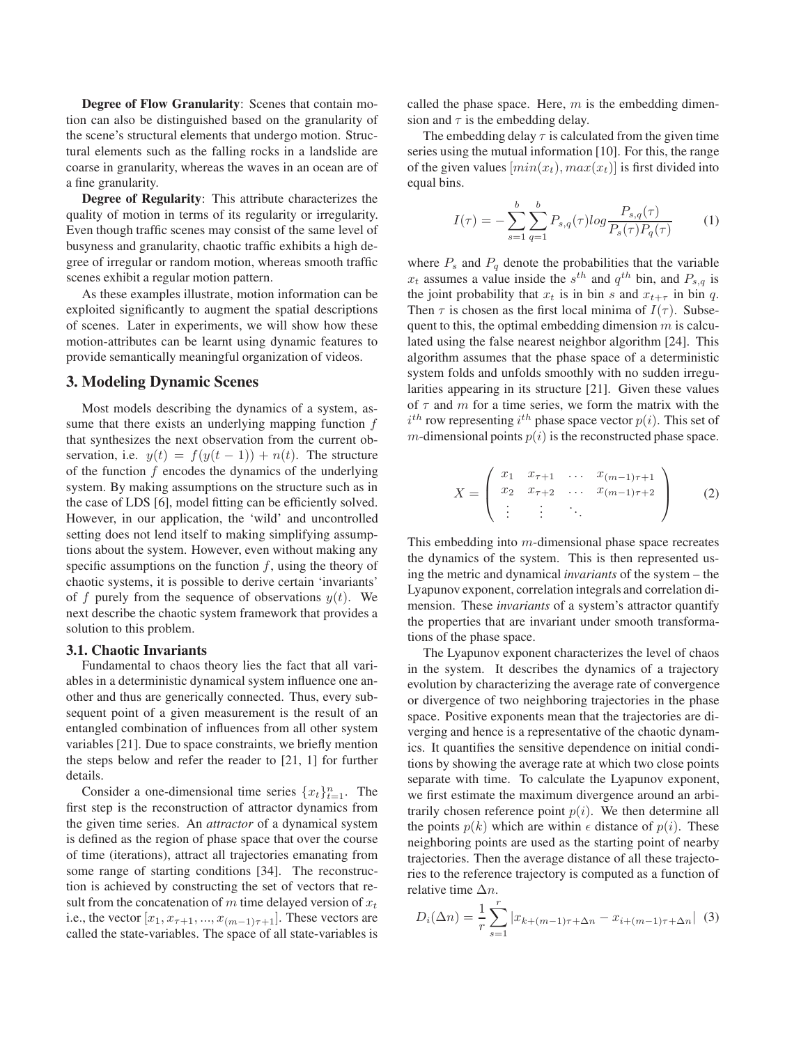**Degree of Flow Granularity**: Scenes that contain motion can also be distinguished based on the granularity of the scene's structural elements that undergo motion. Structural elements such as the falling rocks in a landslide are coarse in granularity, whereas the waves in an ocean are of a fine granularity.

**Degree of Regularity**: This attribute characterizes the quality of motion in terms of its regularity or irregularity. Even though traffic scenes may consist of the same level of busyness and granularity, chaotic traffic exhibits a high degree of irregular or random motion, whereas smooth traffic scenes exhibit a regular motion pattern.

As these examples illustrate, motion information can be exploited significantly to augment the spatial descriptions of scenes. Later in experiments, we will show how these motion-attributes can be learnt using dynamic features to provide semantically meaningful organization of videos.

#### **3. Modeling Dynamic Scenes**

Most models describing the dynamics of a system, assume that there exists an underlying mapping function f that synthesizes the next observation from the current observation, i.e.  $y(t) = f(y(t-1)) + n(t)$ . The structure of the function  $f$  encodes the dynamics of the underlying system. By making assumptions on the structure such as in the case of LDS [6], model fitting can be efficiently solved. However, in our application, the 'wild' and uncontrolled setting does not lend itself to making simplifying assumptions about the system. However, even without making any specific assumptions on the function  $f$ , using the theory of chaotic systems, it is possible to derive certain 'invariants' of f purely from the sequence of observations  $y(t)$ . We next describe the chaotic system framework that provides a solution to this problem.

#### **3.1. Chaotic Invariants**

Fundamental to chaos theory lies the fact that all variables in a deterministic dynamical system influence one another and thus are generically connected. Thus, every subsequent point of a given measurement is the result of an entangled combination of influences from all other system variables [21]. Due to space constraints, we briefly mention the steps below and refer the reader to [21, 1] for further details.

Consider a one-dimensional time series  $\{x_t\}_{t=1}^n$ . The first step is the reconstruction of attractor dynamics from the given time series. An *attractor* of a dynamical system is defined as the region of phase space that over the course of time (iterations), attract all trajectories emanating from some range of starting conditions [34]. The reconstruction is achieved by constructing the set of vectors that result from the concatenation of m time delayed version of  $x_t$ i.e., the vector  $[x_1, x_{\tau+1}, ..., x_{(m-1)\tau+1}]$ . These vectors are called the state-variables. The space of all state-variables is called the phase space. Here,  $m$  is the embedding dimension and  $\tau$  is the embedding delay.

The embedding delay  $\tau$  is calculated from the given time series using the mutual information [10]. For this, the range of the given values  $[min(x_t), max(x_t)]$  is first divided into equal bins.

$$
I(\tau) = -\sum_{s=1}^{b} \sum_{q=1}^{b} P_{s,q}(\tau) \log \frac{P_{s,q}(\tau)}{P_s(\tau)P_q(\tau)}
$$
(1)

where  $P_s$  and  $P_q$  denote the probabilities that the variable  $x_t$  assumes a value inside the  $s^{th}$  and  $q^{th}$  bin, and  $P_{s,q}$  is the joint probability that  $x_t$  is in bin s and  $x_{t+\tau}$  in bin q. Then  $\tau$  is chosen as the first local minima of  $I(\tau)$ . Subsequent to this, the optimal embedding dimension  $m$  is calculated using the false nearest neighbor algorithm [24]. This algorithm assumes that the phase space of a deterministic system folds and unfolds smoothly with no sudden irregularities appearing in its structure [21]. Given these values of  $\tau$  and  $m$  for a time series, we form the matrix with the m-dimensional points  $p(i)$  is the reconstructed phase space. <sup>th</sup> row representing *i*<sup>th</sup> phase space vector  $p(i)$ . This set of m-dimensional points  $p(i)$  is the reconstructed phase space.

$$
X = \begin{pmatrix} x_1 & x_{\tau+1} & \dots & x_{(m-1)\tau+1} \\ x_2 & x_{\tau+2} & \dots & x_{(m-1)\tau+2} \\ \vdots & \vdots & \ddots & \end{pmatrix}
$$
 (2)

This embedding into m-dimensional phase space recreates the dynamics of the system. This is then represented using the metric and dynamical *invariants* of the system – the Lyapunov exponent, correlation integrals and correlation dimension. These *invariants* of a system's attractor quantify the properties that are invariant under smooth transformations of the phase space.

The Lyapunov exponent characterizes the level of chaos in the system. It describes the dynamics of a trajectory evolution by characterizing the average rate of convergence or divergence of two neighboring trajectories in the phase space. Positive exponents mean that the trajectories are diverging and hence is a representative of the chaotic dynamics. It quantifies the sensitive dependence on initial conditions by showing the average rate at which two close points separate with time. To calculate the Lyapunov exponent, we first estimate the maximum divergence around an arbitrarily chosen reference point  $p(i)$ . We then determine all the points  $p(k)$  which are within  $\epsilon$  distance of  $p(i)$ . These neighboring points are used as the starting point of nearby trajectories. Then the average distance of all these trajectories to the reference trajectory is computed as a function of relative time  $\Delta n$ .

$$
D_i(\Delta n) = \frac{1}{r} \sum_{s=1}^r |x_{k+(m-1)\tau + \Delta n} - x_{i+(m-1)\tau + \Delta n}| \tag{3}
$$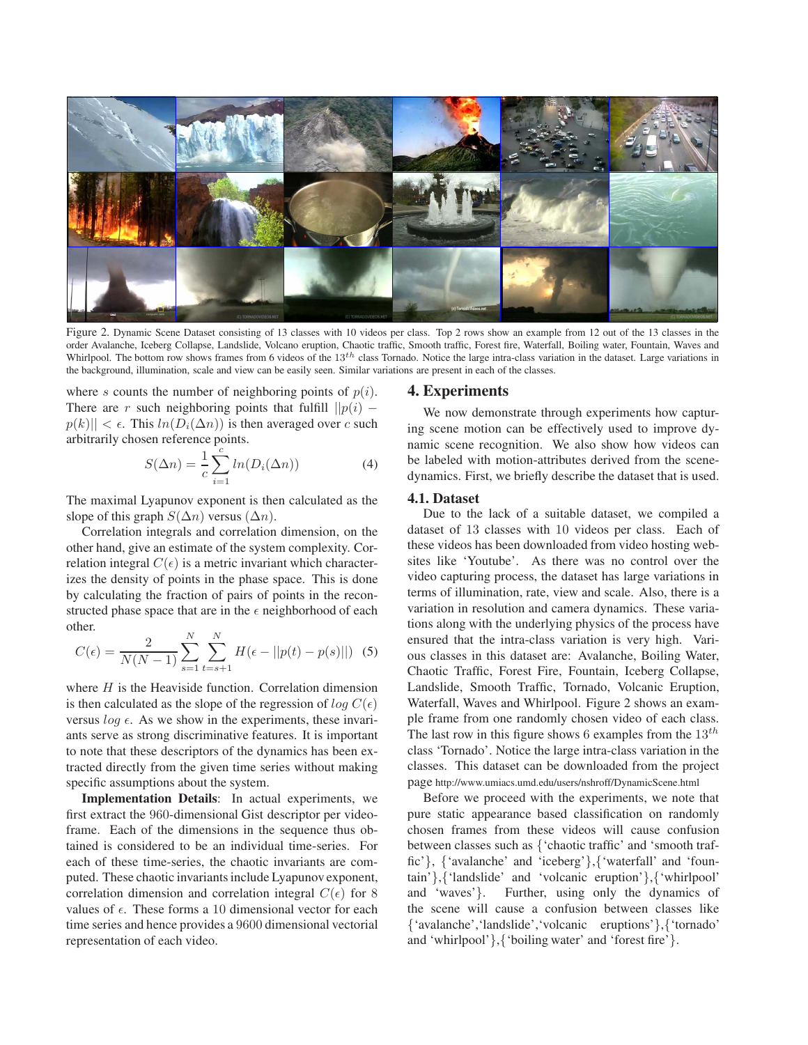

Figure 2. Dynamic Scene Dataset consisting of 13 classes with 10 videos per class. Top 2 rows show an example from 12 out of the 13 classes in the order Avalanche, Iceberg Collapse, Landslide, Volcano eruption, Chaotic traffic, Smooth traffic, Forest fire, Waterfall, Boiling water, Fountain, Waves and Whirlpool. The bottom row shows frames from 6 videos of the 13<sup>th</sup> class Tornado. Notice the large intra-class variation in the dataset. Large variations in the background, illumination, scale and view can be easily seen. Similar variations are present in each of the classes.

where s counts the number of neighboring points of  $p(i)$ . There are r such neighboring points that fulfill  $||p(i)$  $p(k)$ ||  $\lt \epsilon$ . This  $ln(D_i(\Delta n))$  is then averaged over c such arbitrarily chosen reference points.

$$
S(\Delta n) = \frac{1}{c} \sum_{i=1}^{c} \ln(D_i(\Delta n))
$$
 (4)

The maximal Lyapunov exponent is then calculated as the slope of this graph  $S(\Delta n)$  versus  $(\Delta n)$ .

Correlation integrals and correlation dimension, on the other hand, give an estimate of the system complexity. Correlation integral  $C(\epsilon)$  is a metric invariant which characterizes the density of points in the phase space. This is done by calculating the fraction of pairs of points in the reconstructed phase space that are in the  $\epsilon$  neighborhood of each other.

$$
C(\epsilon) = \frac{2}{N(N-1)} \sum_{s=1}^{N} \sum_{t=s+1}^{N} H(\epsilon - ||p(t) - p(s)||)
$$
 (5)

where  $H$  is the Heaviside function. Correlation dimension is then calculated as the slope of the regression of  $log C(\epsilon)$ versus  $log \epsilon$ . As we show in the experiments, these invariants serve as strong discriminative features. It is important to note that these descriptors of the dynamics has been extracted directly from the given time series without making specific assumptions about the system.

**Implementation Details**: In actual experiments, we first extract the 960-dimensional Gist descriptor per videoframe. Each of the dimensions in the sequence thus obtained is considered to be an individual time-series. For each of these time-series, the chaotic invariants are computed. These chaotic invariants include Lyapunov exponent, correlation dimension and correlation integral  $C(\epsilon)$  for 8 values of  $\epsilon$ . These forms a 10 dimensional vector for each time series and hence provides a 9600 dimensional vectorial representation of each video.

#### **4. Experiments**

We now demonstrate through experiments how capturing scene motion can be effectively used to improve dynamic scene recognition. We also show how videos can be labeled with motion-attributes derived from the scenedynamics. First, we briefly describe the dataset that is used.

### **4.1. Dataset**

Due to the lack of a suitable dataset, we compiled a dataset of 13 classes with 10 videos per class. Each of these videos has been downloaded from video hosting websites like 'Youtube'. As there was no control over the video capturing process, the dataset has large variations in terms of illumination, rate, view and scale. Also, there is a variation in resolution and camera dynamics. These variations along with the underlying physics of the process have ensured that the intra-class variation is very high. Various classes in this dataset are: Avalanche, Boiling Water, Chaotic Traffic, Forest Fire, Fountain, Iceberg Collapse, Landslide, Smooth Traffic, Tornado, Volcanic Eruption, Waterfall, Waves and Whirlpool. Figure 2 shows an example frame from one randomly chosen video of each class. The last row in this figure shows 6 examples from the  $13^{th}$ class 'Tornado'. Notice the large intra-class variation in the classes. This dataset can be downloaded from the project page http://www.umiacs.umd.edu/users/nshroff/DynamicScene.html

Before we proceed with the experiments, we note that pure static appearance based classification on randomly chosen frames from these videos will cause confusion between classes such as {'chaotic traffic' and 'smooth traffic'}, {'avalanche' and 'iceberg'},{'waterfall' and 'fountain'},{'landslide' and 'volcanic eruption'},{'whirlpool' and 'waves'}. Further, using only the dynamics of the scene will cause a confusion between classes like {'avalanche','landslide','volcanic eruptions'},{'tornado' and 'whirlpool'},{'boiling water' and 'forest fire'}.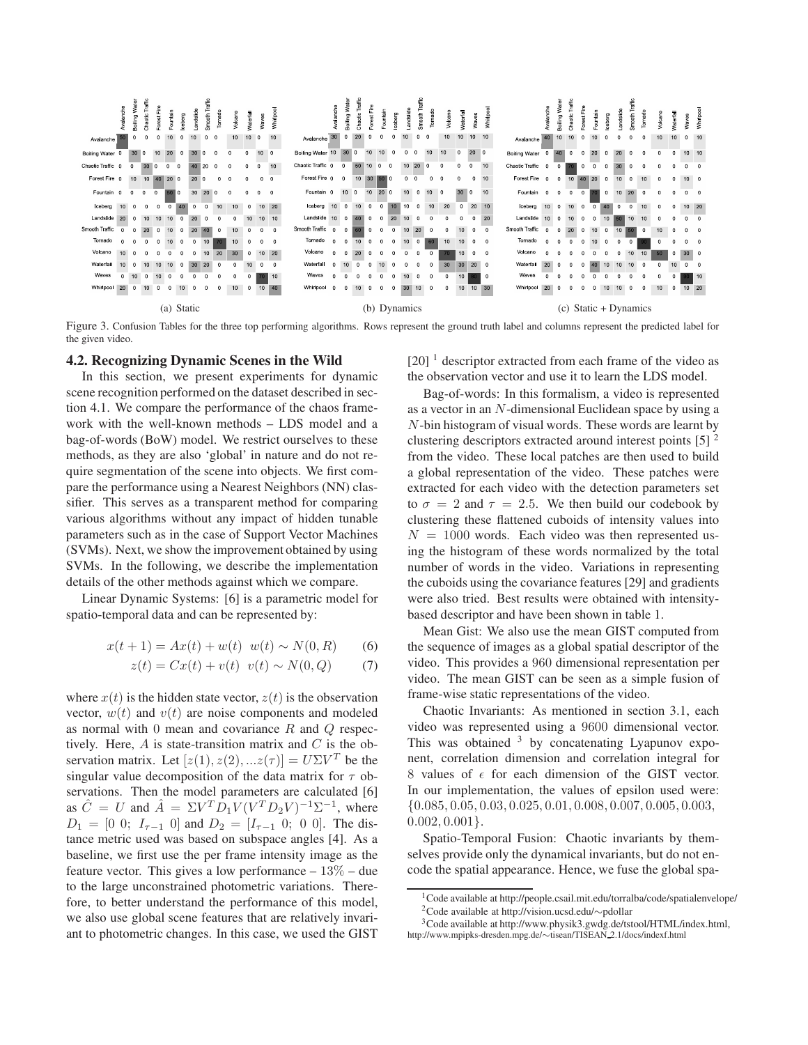

Figure 3. Confusion Tables for the three top performing algorithms. Rows represent the ground truth label and columns represent the predicted label for the given video.

#### **4.2. Recognizing Dynamic Scenes in the Wild**

In this section, we present experiments for dynamic scene recognition performed on the dataset described in section 4.1. We compare the performance of the chaos framework with the well-known methods – LDS model and a bag-of-words (BoW) model. We restrict ourselves to these methods, as they are also 'global' in nature and do not require segmentation of the scene into objects. We first compare the performance using a Nearest Neighbors (NN) classifier. This serves as a transparent method for comparing various algorithms without any impact of hidden tunable parameters such as in the case of Support Vector Machines (SVMs). Next, we show the improvement obtained by using SVMs. In the following, we describe the implementation details of the other methods against which we compare.

Linear Dynamic Systems: [6] is a parametric model for spatio-temporal data and can be represented by:

$$
x(t+1) = Ax(t) + w(t) \quad w(t) \sim N(0, R) \tag{6}
$$

$$
z(t) = Cx(t) + v(t) \ \ v(t) \sim N(0, Q) \tag{7}
$$

where  $x(t)$  is the hidden state vector,  $z(t)$  is the observation vector,  $w(t)$  and  $v(t)$  are noise components and modeled as normal with 0 mean and covariance  $R$  and  $Q$  respectively. Here,  $A$  is state-transition matrix and  $C$  is the observation matrix. Let  $[z(1), z(2), ...z(\tau)] = U\Sigma V^T$  be the singular value decomposition of the data matrix for  $\tau$  observations. Then the model parameters are calculated [6] as  $\hat{C} = U$  and  $\hat{A} = \Sigma V^T D_1 V (V^T D_2 V)^{-1} \Sigma^{-1}$ , where  $D_1 = \begin{bmatrix} 0 & 0 \\ 0 & 1 \end{bmatrix}$  and  $D_2 = \begin{bmatrix} I_{\tau-1} & 0 \\ 0 & 0 \end{bmatrix}$ . The distance metric used was based on subspace angles [4]. As a baseline, we first use the per frame intensity image as the feature vector. This gives a low performance  $-13\%$  – due to the large unconstrained photometric variations. Therefore, to better understand the performance of this model, we also use global scene features that are relatively invariant to photometric changes. In this case, we used the GIST  $[20]$ <sup>1</sup> descriptor extracted from each frame of the video as the observation vector and use it to learn the LDS model.

Bag-of-words: In this formalism, a video is represented as a vector in an N-dimensional Euclidean space by using a N-bin histogram of visual words. These words are learnt by clustering descriptors extracted around interest points  $[5]$ <sup>2</sup> from the video. These local patches are then used to build a global representation of the video. These patches were extracted for each video with the detection parameters set to  $\sigma = 2$  and  $\tau = 2.5$ . We then build our codebook by clustering these flattened cuboids of intensity values into  $N = 1000$  words. Each video was then represented using the histogram of these words normalized by the total number of words in the video. Variations in representing the cuboids using the covariance features [29] and gradients were also tried. Best results were obtained with intensitybased descriptor and have been shown in table 1.

Mean Gist: We also use the mean GIST computed from the sequence of images as a global spatial descriptor of the video. This provides a 960 dimensional representation per video. The mean GIST can be seen as a simple fusion of frame-wise static representations of the video.

Chaotic Invariants: As mentioned in section 3.1, each video was represented using a 9600 dimensional vector. This was obtained  $3$  by concatenating Lyapunov exponent, correlation dimension and correlation integral for 8 values of  $\epsilon$  for each dimension of the GIST vector. In our implementation, the values of epsilon used were: {0.085, <sup>0</sup>.05, <sup>0</sup>.03, <sup>0</sup>.025, <sup>0</sup>.01, <sup>0</sup>.008, <sup>0</sup>.007, <sup>0</sup>.005, <sup>0</sup>.003,  $0.002, 0.001$ .

Spatio-Temporal Fusion: Chaotic invariants by themselves provide only the dynamical invariants, but do not encode the spatial appearance. Hence, we fuse the global spa-

<sup>1</sup>Code available at http://people.csail.mit.edu/torralba/code/spatialenvelope/ 2Code available at http://vision.ucsd.edu/∼pdollar 3Code available at http://www.physik3.gwdg.de/tstool/HTML/index.html,

http://www.mpipks-dresden.mpg.de/∼tisean/TISEAN 2.1/docs/indexf.html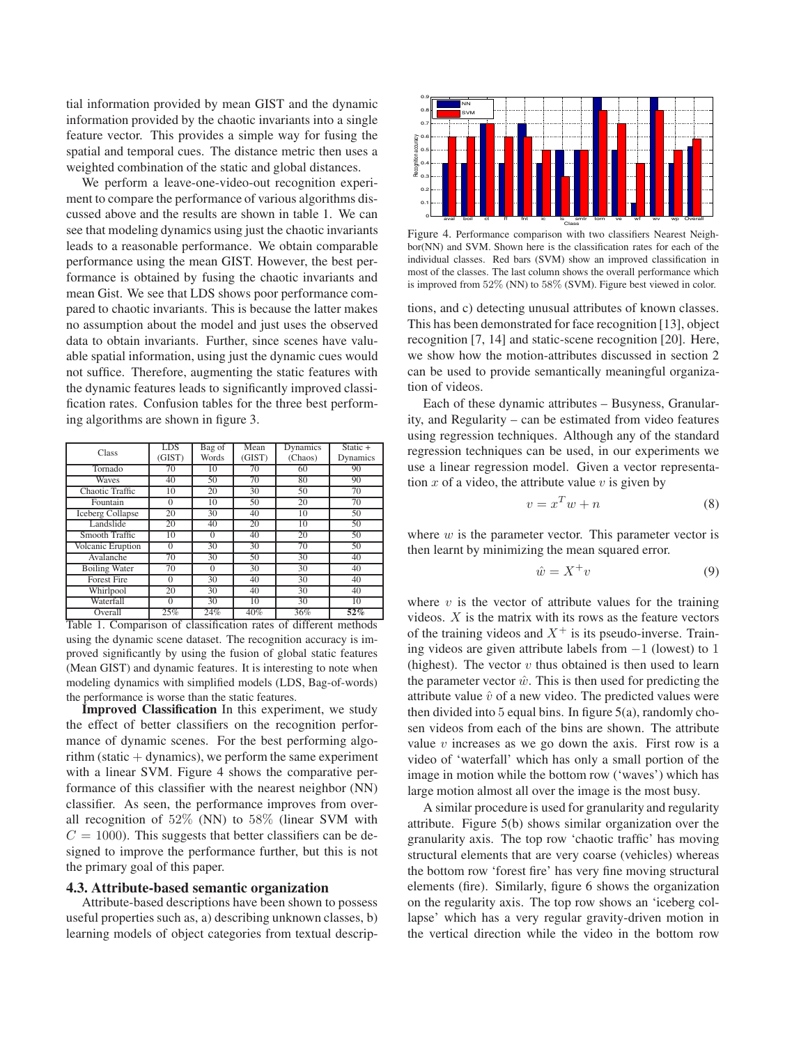tial information provided by mean GIST and the dynamic information provided by the chaotic invariants into a single feature vector. This provides a simple way for fusing the spatial and temporal cues. The distance metric then uses a weighted combination of the static and global distances.

We perform a leave-one-video-out recognition experiment to compare the performance of various algorithms discussed above and the results are shown in table 1. We can see that modeling dynamics using just the chaotic invariants leads to a reasonable performance. We obtain comparable performance using the mean GIST. However, the best performance is obtained by fusing the chaotic invariants and mean Gist. We see that LDS shows poor performance compared to chaotic invariants. This is because the latter makes no assumption about the model and just uses the observed data to obtain invariants. Further, since scenes have valuable spatial information, using just the dynamic cues would not suffice. Therefore, augmenting the static features with the dynamic features leads to significantly improved classification rates. Confusion tables for the three best performing algorithms are shown in figure 3.

| Class                   | <b>LDS</b> | Bag of   | Mean   | Dynamics | $Static +$ |
|-------------------------|------------|----------|--------|----------|------------|
|                         | (GIST)     | Words    | (GIST) | (Chaos)  | Dynamics   |
| Tornado                 | 70         | 10       | 70     | 60       | 90         |
| Waves                   | 40         | 50       | 70     | 80       | 90         |
| Chaotic Traffic         | 10         | 20       | 30     | 50       | 70         |
| Fountain                | $\Omega$   | 10       | 50     | 20       | 70         |
| <b>Iceberg Collapse</b> | 20         | 30       | 40     | 10       | 50         |
| Landslide               | 20         | 40       | 20     | 10       | 50         |
| Smooth Traffic          | 10         | $\Omega$ | 40     | 20       | 50         |
| Volcanic Eruption       | $\theta$   | 30       | 30     | 70       | 50         |
| Avalanche               | 70         | 30       | 50     | 30       | 40         |
| <b>Boiling Water</b>    | 70         | $\Omega$ | 30     | 30       | 40         |
| <b>Forest Fire</b>      | $\Omega$   | 30       | 40     | 30       | 40         |
| Whirlpool               | 20         | 30       | 40     | 30       | 40         |
| Waterfall               | $\Omega$   | 30       | 10     | 30       | 10         |
| Overall                 | 25%        | 24%      | 40%    | 36%      | 52%        |

Table 1. Comparison of classification rates of different methods using the dynamic scene dataset. The recognition accuracy is improved significantly by using the fusion of global static features (Mean GIST) and dynamic features. It is interesting to note when modeling dynamics with simplified models (LDS, Bag-of-words) the performance is worse than the static features.

**Improved Classification** In this experiment, we study the effect of better classifiers on the recognition performance of dynamic scenes. For the best performing algorithm (static  $+$  dynamics), we perform the same experiment with a linear SVM. Figure 4 shows the comparative performance of this classifier with the nearest neighbor (NN) classifier. As seen, the performance improves from overall recognition of 52% (NN) to 58% (linear SVM with  $C = 1000$ . This suggests that better classifiers can be designed to improve the performance further, but this is not the primary goal of this paper.

# **4.3. Attribute-based semantic organization**

Attribute-based descriptions have been shown to possess useful properties such as, a) describing unknown classes, b) learning models of object categories from textual descrip-



Figure 4. Performance comparison with two classifiers Nearest Neighbor(NN) and SVM. Shown here is the classification rates for each of the individual classes. Red bars (SVM) show an improved classification in most of the classes. The last column shows the overall performance which is improved from 52% (NN) to 58% (SVM). Figure best viewed in color.

tions, and c) detecting unusual attributes of known classes. This has been demonstrated for face recognition [13], object recognition [7, 14] and static-scene recognition [20]. Here, we show how the motion-attributes discussed in section 2 can be used to provide semantically meaningful organization of videos.

Each of these dynamic attributes – Busyness, Granularity, and Regularity – can be estimated from video features using regression techniques. Although any of the standard regression techniques can be used, in our experiments we use a linear regression model. Given a vector representation  $x$  of a video, the attribute value  $v$  is given by

$$
v = x^T w + n \tag{8}
$$

where  $w$  is the parameter vector. This parameter vector is then learnt by minimizing the mean squared error.

$$
\hat{w} = X^+ v \tag{9}
$$

where  $v$  is the vector of attribute values for the training videos.  $X$  is the matrix with its rows as the feature vectors of the training videos and  $X^+$  is its pseudo-inverse. Training videos are given attribute labels from −1 (lowest) to 1 (highest). The vector  $v$  thus obtained is then used to learn the parameter vector  $\hat{w}$ . This is then used for predicting the attribute value  $\hat{v}$  of a new video. The predicted values were then divided into  $5$  equal bins. In figure  $5(a)$ , randomly chosen videos from each of the bins are shown. The attribute value  $v$  increases as we go down the axis. First row is a video of 'waterfall' which has only a small portion of the image in motion while the bottom row ('waves') which has large motion almost all over the image is the most busy.

A similar procedure is used for granularity and regularity attribute. Figure 5(b) shows similar organization over the granularity axis. The top row 'chaotic traffic' has moving structural elements that are very coarse (vehicles) whereas the bottom row 'forest fire' has very fine moving structural elements (fire). Similarly, figure 6 shows the organization on the regularity axis. The top row shows an 'iceberg collapse' which has a very regular gravity-driven motion in the vertical direction while the video in the bottom row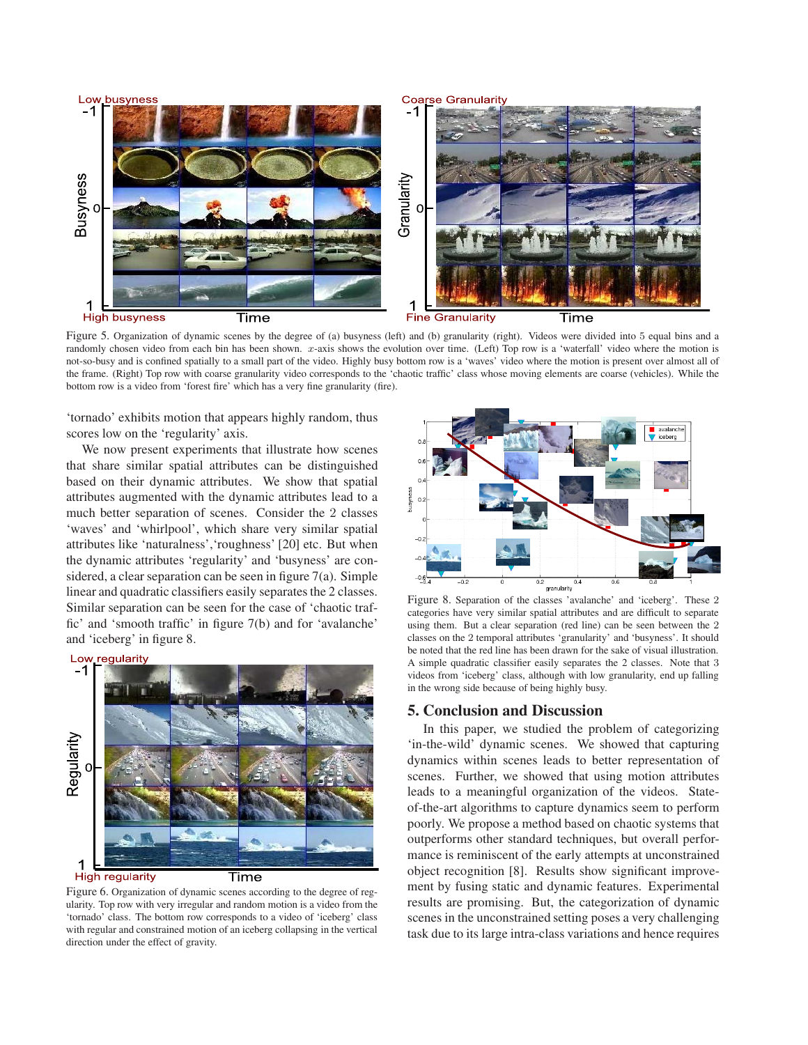

Figure 5. Organization of dynamic scenes by the degree of (a) busyness (left) and (b) granularity (right). Videos were divided into 5 equal bins and a randomly chosen video from each bin has been shown. *x*-axis shows the evolution over time. (Left) Top row is a 'waterfall' video where the motion is not-so-busy and is confined spatially to a small part of the video. Highly busy bottom row is a 'waves' video where the motion is present over almost all of the frame. (Right) Top row with coarse granularity video corresponds to the 'chaotic traffic' class whose moving elements are coarse (vehicles). While the bottom row is a video from 'forest fire' which has a very fine granularity (fire).

'tornado' exhibits motion that appears highly random, thus scores low on the 'regularity' axis.

We now present experiments that illustrate how scenes that share similar spatial attributes can be distinguished based on their dynamic attributes. We show that spatial attributes augmented with the dynamic attributes lead to a much better separation of scenes. Consider the 2 classes 'waves' and 'whirlpool', which share very similar spatial attributes like 'naturalness','roughness' [20] etc. But when the dynamic attributes 'regularity' and 'busyness' are considered, a clear separation can be seen in figure 7(a). Simple linear and quadratic classifiers easily separates the 2 classes. Similar separation can be seen for the case of 'chaotic traffic' and 'smooth traffic' in figure 7(b) and for 'avalanche' and 'iceberg' in figure 8.



Figure 6. Organization of dynamic scenes according to the degree of regularity. Top row with very irregular and random motion is a video from the 'tornado' class. The bottom row corresponds to a video of 'iceberg' class with regular and constrained motion of an iceberg collapsing in the vertical direction under the effect of gravity.



Figure 8. Separation of the classes 'avalanche' and 'iceberg'. These 2 categories have very similar spatial attributes and are difficult to separate using them. But a clear separation (red line) can be seen between the 2 classes on the 2 temporal attributes 'granularity' and 'busyness'. It should be noted that the red line has been drawn for the sake of visual illustration. A simple quadratic classifier easily separates the 2 classes. Note that 3 videos from 'iceberg' class, although with low granularity, end up falling in the wrong side because of being highly busy.

# **5. Conclusion and Discussion**

In this paper, we studied the problem of categorizing 'in-the-wild' dynamic scenes. We showed that capturing dynamics within scenes leads to better representation of scenes. Further, we showed that using motion attributes leads to a meaningful organization of the videos. Stateof-the-art algorithms to capture dynamics seem to perform poorly. We propose a method based on chaotic systems that outperforms other standard techniques, but overall performance is reminiscent of the early attempts at unconstrained object recognition [8]. Results show significant improvement by fusing static and dynamic features. Experimental results are promising. But, the categorization of dynamic scenes in the unconstrained setting poses a very challenging task due to its large intra-class variations and hence requires